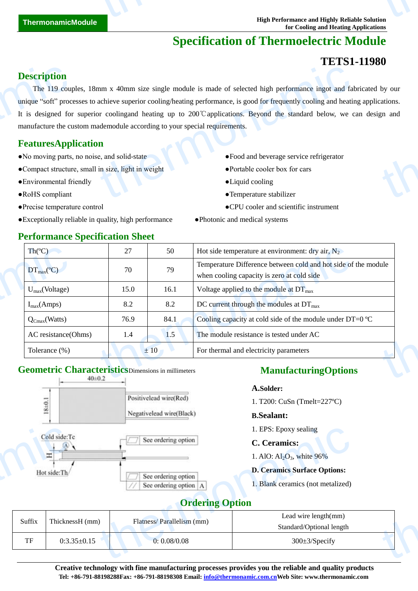# **Specification of Thermoelectric Module**

# **TETS1-11980**

## **Description**

The 119 couples, 18mm x 40mm size single module is made of selected high performance ingot and fabricated by our unique "soft" processes to achieve superior cooling/heating performance, is good for frequently cooling and heating applications. It is designed for superior coolingand heating up to 200℃applications. Beyond the standard below, we can design and manufacture the custom mademodule according to your special requirements. **Description**<br>The 119 coupling<br>the 119 coupling of the 119 coupling of the contractor<br>manufacture the contractor<br>FeaturesApp<br>No moving parts.<br>Compact structure<br>Environmental free RoHS compliant THE TRIM THE STRIM THE STRIM THE STRIM THE STRIM THE STRIM THE STRIM THE STRIM THE STRIM THE STRIM THE STRIM THE STRIM THE STRIM THE STRIM THE STRIM THE STRIM THE STRIM THE STRIM THE STRIM THE STRIM THE STRIM THE STRIM THE by our cations.

## **FeaturesApplication**

- ●No moving parts, no noise, and solid-state ●Food and beverage service refrigerator
- ●Compact structure, small in size, light in weight ●Portable cooler box for cars
- ●Environmental friendly ●Liquid cooling
- 
- 
- ●Exceptionally reliable in quality, high performance ●Photonic and medical systems

**Performance Specification Sheet** 

- 
- 
- 
- ●RoHS compliant ●Temperature stabilizer
- ●Precise temperature control ●CPU cooler and scientific instrument
	-

| $\text{Th}(\mathcal{C})$      | 27   | 50       | Hot side temperature at environment: dry air, $N_2$                                                          |
|-------------------------------|------|----------|--------------------------------------------------------------------------------------------------------------|
| $DT_{\text{max}}(\mathbb{C})$ | 70   | 79       | Temperature Difference between cold and hot side of the module<br>when cooling capacity is zero at cold side |
| $U_{max}(Voltage)$            | 15.0 | 16.1     | Voltage applied to the module at $DT_{\text{max}}$                                                           |
| $I_{max}(Amps)$               | 8.2  | 8.2      | DC current through the modules at $DT_{\text{max}}$                                                          |
| $Q_{Cmax}(Watts)$             | 76.9 | 84.1     | Cooling capacity at cold side of the module under DT=0 $\mathbb{C}$                                          |
| AC resistance(Ohms)           | 1.4  | 1.5      | The module resistance is tested under AC                                                                     |
| Tolerance (%)                 |      | $\pm 10$ | For thermal and electricity parameters                                                                       |

# **Geometric Characteristics**Dimensions in millimeters



## **ManufacturingOptions**

#### **A.Solder:**

1. T200: CuSn (Tmelt=227ºC)

#### **B.Sealant:**

1. EPS: Epoxy sealing

#### **C. Ceramics:**

#### **D. Ceramics Surface Options:**

## **Ordering Option**

| Cold side:Tc<br>Ξ |                                                                      |                                     | 1. EPS: Epoxy sealing            |  |
|-------------------|----------------------------------------------------------------------|-------------------------------------|----------------------------------|--|
|                   |                                                                      | See ordering option                 | C. Ceramics:                     |  |
|                   |                                                                      |                                     | 1. AlO: $Al_2O_3$ , white 96%    |  |
| Hot side:Th/      | See ordering option                                                  | <b>D. Ceramics Surface Options:</b> |                                  |  |
|                   | See ordering option A                                                |                                     | . Blank ceramics (not metalized) |  |
|                   |                                                                      | <b>Ordering Option</b>              |                                  |  |
| Suffix            | Lead wire length(mm)<br>ThicknessH (mm)<br>Flatness/Parallelism (mm) |                                     |                                  |  |
|                   |                                                                      | Standard/Optional length            |                                  |  |
| TF                | $0:3.35 \pm 0.15$                                                    | 0:0.08/0.08                         | $300 \pm 3$ /Specify             |  |
|                   |                                                                      |                                     |                                  |  |

**Creative technology with fine manufacturing processes provides you the reliable and quality products Tel: +86-791-88198288Fax: +86-791-88198308 Email: info@thermonamic.com.cnWeb Site: www.thermonamic.com**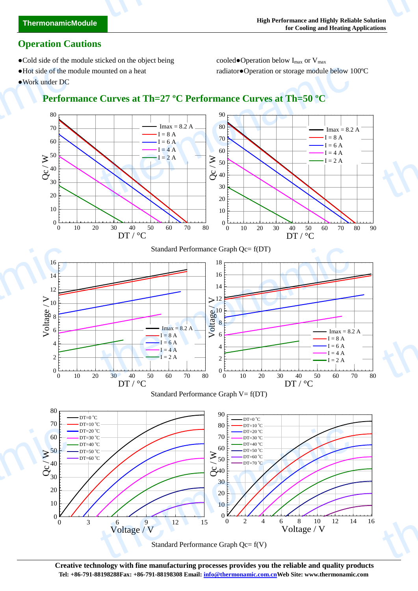- •Cold side of the module sticked on the object being cooled•Operation below  $I_{max}$  or  $V_{max}$
- 

●Hot side of the module mounted on a heat radiator●Operation or storage module below 100ºC

●Work under DC

thermonamic



Standard Performance Graph Qc= f(V)

 $0$  $10 \div 111$ 

0 3 6 9 12 15 0 2

Voltage / V

 $0$ 

0 2 4 6 8 10 12 14 16

Voltage / V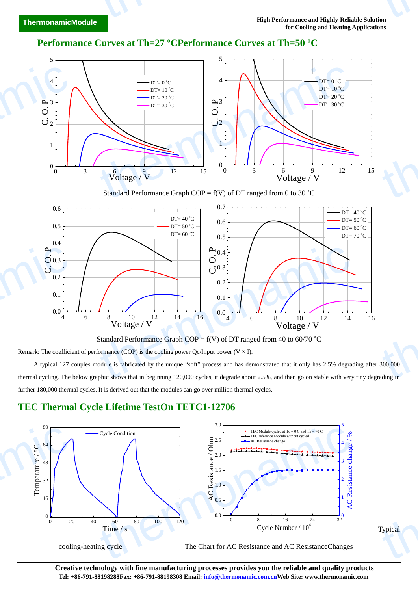Typical

Typical

### **Performance Curves at Th=27 <b>CPerformance Curves at Th=50**  $\mathbb{C}$



Standard Performance Graph COP =  $f(V)$  of DT ranged from 0 to 30 °C



Standard Performance Graph COP =  $f(V)$  of DT ranged from 40 to 60/70 °C

Remark: The coefficient of performance (COP) is the cooling power Qc/Input power (V  $\times$  I).

A typical 127 couples module is fabricated by the unique "soft" process and has demonstrated that it only has 2.5% degrading after 300,000 thermal cycling. The below graphic shows that in beginning 120,000 cycles, it degrade about 2.5%, and then go on stable with very tiny degrading in further 180,000 thermal cycles. It is derived out that the modules can go over million thermal cycles.  $\frac{300,000}{\text{ading in}}$ 

### **TEC Thermal Cycle Lifetime TestOn TETC1-12706**



**Creative technology with fine manufacturing processes provides you the reliable and quality products Tel: +86-791-88198288Fax: +86-791-88198308 Email: info@thermonamic.com.cnWeb Site: www.thermonamic.com**